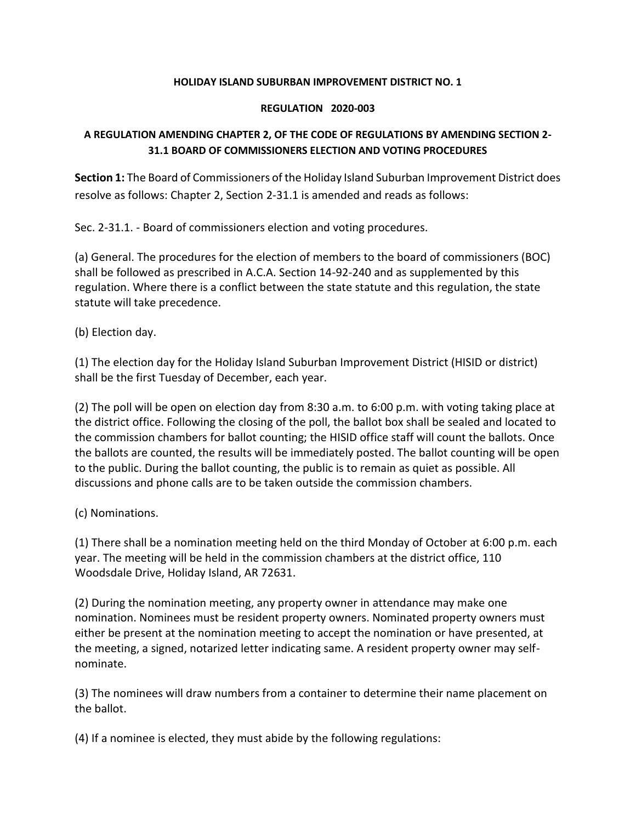#### **HOLIDAY ISLAND SUBURBAN IMPROVEMENT DISTRICT NO. 1**

#### **REGULATION 2020-003**

#### **A REGULATION AMENDING CHAPTER 2, OF THE CODE OF REGULATIONS BY AMENDING SECTION 2- 31.1 BOARD OF COMMISSIONERS ELECTION AND VOTING PROCEDURES**

**Section 1:** The Board of Commissioners of the Holiday Island Suburban Improvement District does resolve as follows: Chapter 2, Section 2-31.1 is amended and reads as follows:

Sec. 2-31.1. - Board of commissioners election and voting procedures.

(a) General. The procedures for the election of members to the board of commissioners (BOC) shall be followed as prescribed in A.C.A. Section 14-92-240 and as supplemented by this regulation. Where there is a conflict between the state statute and this regulation, the state statute will take precedence.

(b) Election day.

(1) The election day for the Holiday Island Suburban Improvement District (HISID or district) shall be the first Tuesday of December, each year.

(2) The poll will be open on election day from 8:30 a.m. to 6:00 p.m. with voting taking place at the district office. Following the closing of the poll, the ballot box shall be sealed and located to the commission chambers for ballot counting; the HISID office staff will count the ballots. Once the ballots are counted, the results will be immediately posted. The ballot counting will be open to the public. During the ballot counting, the public is to remain as quiet as possible. All discussions and phone calls are to be taken outside the commission chambers.

(c) Nominations.

(1) There shall be a nomination meeting held on the third Monday of October at 6:00 p.m. each year. The meeting will be held in the commission chambers at the district office, 110 Woodsdale Drive, Holiday Island, AR 72631.

(2) During the nomination meeting, any property owner in attendance may make one nomination. Nominees must be resident property owners. Nominated property owners must either be present at the nomination meeting to accept the nomination or have presented, at the meeting, a signed, notarized letter indicating same. A resident property owner may selfnominate.

(3) The nominees will draw numbers from a container to determine their name placement on the ballot.

(4) If a nominee is elected, they must abide by the following regulations: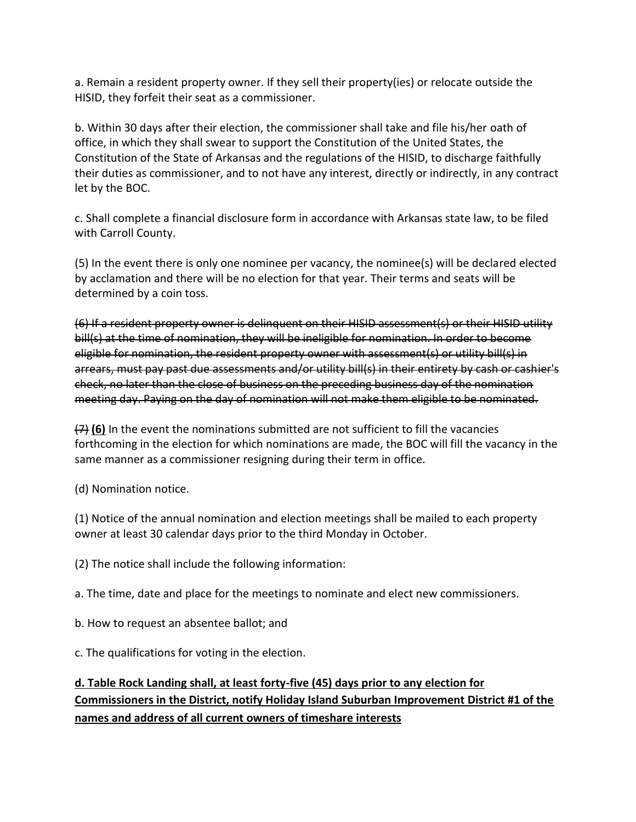a. Remain a resident property owner. If they sell their property(ies) or relocate outside the HISID, they forfeit their seat as a commissioner.

b. Within 30 days after their election, the commissioner shall take and file his/her oath of office, in which they shall swear to support the Constitution of the United States, the Constitution of the State of Arkansas and the regulations of the HISID, to discharge faithfully their duties as commissioner, and to not have any interest, directly or indirectly, in any contract let by the BOC.

c. Shall complete a financial disclosure form in accordance with Arkansas state law, to be filed with Carroll County.

(5) In the event there is only one nominee per vacancy, the nominee(s) will be declared elected by acclamation and there will be no election for that year. Their terms and seats will be determined by a coin toss.

(6) If a resident property owner is delinquent on their HISID assessment(s) or their HISID utility bill(s) at the time of nomination, they will be ineligible for nomination. In order to become eligible for nomination, the resident property owner with assessment(s) or utility bill(s) in arrears, must pay past due assessments and/or utility bill(s) in their entirety by cash or cashier's check, no later than the close of business on the preceding business day of the nomination meeting day. Paying on the day of nomination will not make them eligible to be nominated.

(7) **(6)** In the event the nominations submitted are not sufficient to fill the vacancies forthcoming in the election for which nominations are made, the BOC will fill the vacancy in the same manner as a commissioner resigning during their term in office.

(d) Nomination notice.

(1) Notice of the annual nomination and election meetings shall be mailed to each property owner at least 30 calendar days prior to the third Monday in October.

(2) The notice shall include the following information:

a. The time, date and place for the meetings to nominate and elect new commissioners.

b. How to request an absentee ballot; and

c. The qualifications for voting in the election.

# **d. Table Rock Landing shall, at least forty-five (45) days prior to any election for Commissioners in the District, notify Holiday Island Suburban Improvement District #1 of the names and address of all current owners of timeshare interests**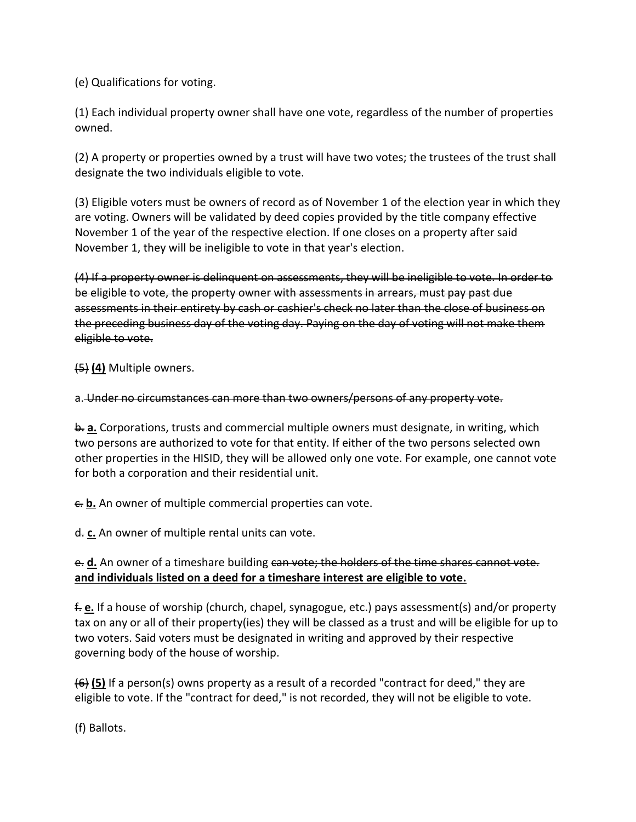(e) Qualifications for voting.

(1) Each individual property owner shall have one vote, regardless of the number of properties owned.

(2) A property or properties owned by a trust will have two votes; the trustees of the trust shall designate the two individuals eligible to vote.

(3) Eligible voters must be owners of record as of November 1 of the election year in which they are voting. Owners will be validated by deed copies provided by the title company effective November 1 of the year of the respective election. If one closes on a property after said November 1, they will be ineligible to vote in that year's election.

(4) If a property owner is delinquent on assessments, they will be ineligible to vote. In order to be eligible to vote, the property owner with assessments in arrears, must pay past due assessments in their entirety by cash or cashier's check no later than the close of business on the preceding business day of the voting day. Paying on the day of voting will not make them eligible to vote.

(5) **(4)** Multiple owners.

#### a. Under no circumstances can more than two owners/persons of any property vote.

b. **a.** Corporations, trusts and commercial multiple owners must designate, in writing, which two persons are authorized to vote for that entity. If either of the two persons selected own other properties in the HISID, they will be allowed only one vote. For example, one cannot vote for both a corporation and their residential unit.

 $\epsilon$ **b.** An owner of multiple commercial properties can vote.

d. **c.** An owner of multiple rental units can vote.

## e. **d.** An owner of a timeshare building can vote; the holders of the time shares cannot vote. **and individuals listed on a deed for a timeshare interest are eligible to vote.**

f. **e.** If a house of worship (church, chapel, synagogue, etc.) pays assessment(s) and/or property tax on any or all of their property(ies) they will be classed as a trust and will be eligible for up to two voters. Said voters must be designated in writing and approved by their respective governing body of the house of worship.

(6) **(5)** If a person(s) owns property as a result of a recorded "contract for deed," they are eligible to vote. If the "contract for deed," is not recorded, they will not be eligible to vote.

(f) Ballots.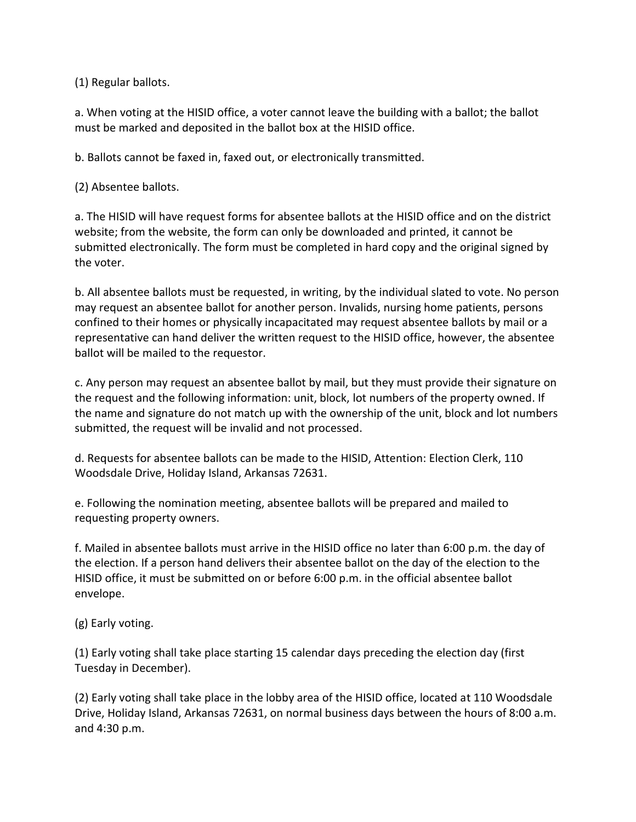(1) Regular ballots.

a. When voting at the HISID office, a voter cannot leave the building with a ballot; the ballot must be marked and deposited in the ballot box at the HISID office.

b. Ballots cannot be faxed in, faxed out, or electronically transmitted.

(2) Absentee ballots.

a. The HISID will have request forms for absentee ballots at the HISID office and on the district website; from the website, the form can only be downloaded and printed, it cannot be submitted electronically. The form must be completed in hard copy and the original signed by the voter.

b. All absentee ballots must be requested, in writing, by the individual slated to vote. No person may request an absentee ballot for another person. Invalids, nursing home patients, persons confined to their homes or physically incapacitated may request absentee ballots by mail or a representative can hand deliver the written request to the HISID office, however, the absentee ballot will be mailed to the requestor.

c. Any person may request an absentee ballot by mail, but they must provide their signature on the request and the following information: unit, block, lot numbers of the property owned. If the name and signature do not match up with the ownership of the unit, block and lot numbers submitted, the request will be invalid and not processed.

d. Requests for absentee ballots can be made to the HISID, Attention: Election Clerk, 110 Woodsdale Drive, Holiday Island, Arkansas 72631.

e. Following the nomination meeting, absentee ballots will be prepared and mailed to requesting property owners.

f. Mailed in absentee ballots must arrive in the HISID office no later than 6:00 p.m. the day of the election. If a person hand delivers their absentee ballot on the day of the election to the HISID office, it must be submitted on or before 6:00 p.m. in the official absentee ballot envelope.

(g) Early voting.

(1) Early voting shall take place starting 15 calendar days preceding the election day (first Tuesday in December).

(2) Early voting shall take place in the lobby area of the HISID office, located at 110 Woodsdale Drive, Holiday Island, Arkansas 72631, on normal business days between the hours of 8:00 a.m. and 4:30 p.m.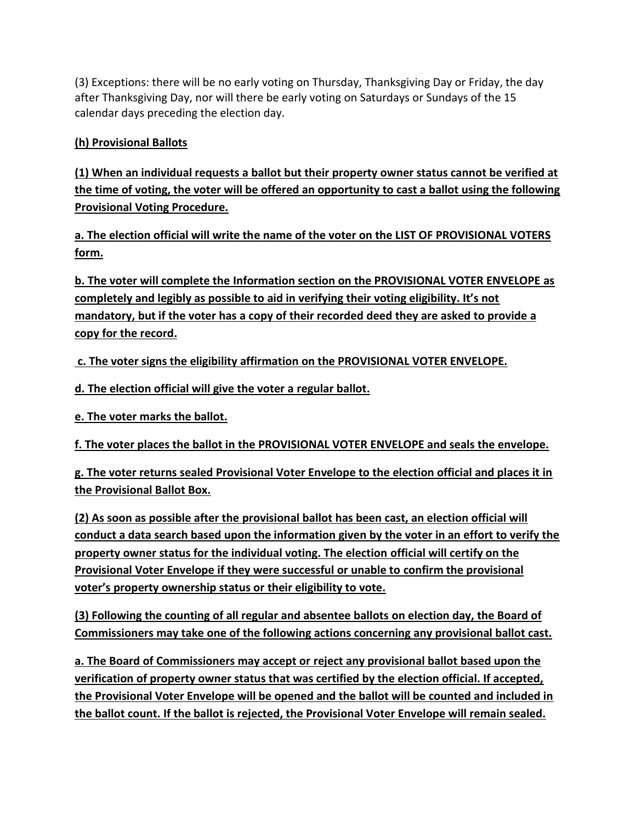(3) Exceptions: there will be no early voting on Thursday, Thanksgiving Day or Friday, the day after Thanksgiving Day, nor will there be early voting on Saturdays or Sundays of the 15 calendar days preceding the election day.

## **(h) Provisional Ballots**

**(1) When an individual requests a ballot but their property owner status cannot be verified at the time of voting, the voter will be offered an opportunity to cast a ballot using the following Provisional Voting Procedure.**

**a. The election official will write the name of the voter on the LIST OF PROVISIONAL VOTERS form.**

**b. The voter will complete the Information section on the PROVISIONAL VOTER ENVELOPE as completely and legibly as possible to aid in verifying their voting eligibility. It's not mandatory, but if the voter has a copy of their recorded deed they are asked to provide a copy for the record.**

**c. The voter signs the eligibility affirmation on the PROVISIONAL VOTER ENVELOPE.**

**d. The election official will give the voter a regular ballot.**

**e. The voter marks the ballot.**

**f. The voter places the ballot in the PROVISIONAL VOTER ENVELOPE and seals the envelope.**

**g. The voter returns sealed Provisional Voter Envelope to the election official and places it in the Provisional Ballot Box.**

**(2) As soon as possible after the provisional ballot has been cast, an election official will conduct a data search based upon the information given by the voter in an effort to verify the property owner status for the individual voting. The election official will certify on the Provisional Voter Envelope if they were successful or unable to confirm the provisional voter's property ownership status or their eligibility to vote.**

**(3) Following the counting of all regular and absentee ballots on election day, the Board of Commissioners may take one of the following actions concerning any provisional ballot cast.**

**a. The Board of Commissioners may accept or reject any provisional ballot based upon the verification of property owner status that was certified by the election official. If accepted, the Provisional Voter Envelope will be opened and the ballot will be counted and included in the ballot count. If the ballot is rejected, the Provisional Voter Envelope will remain sealed.**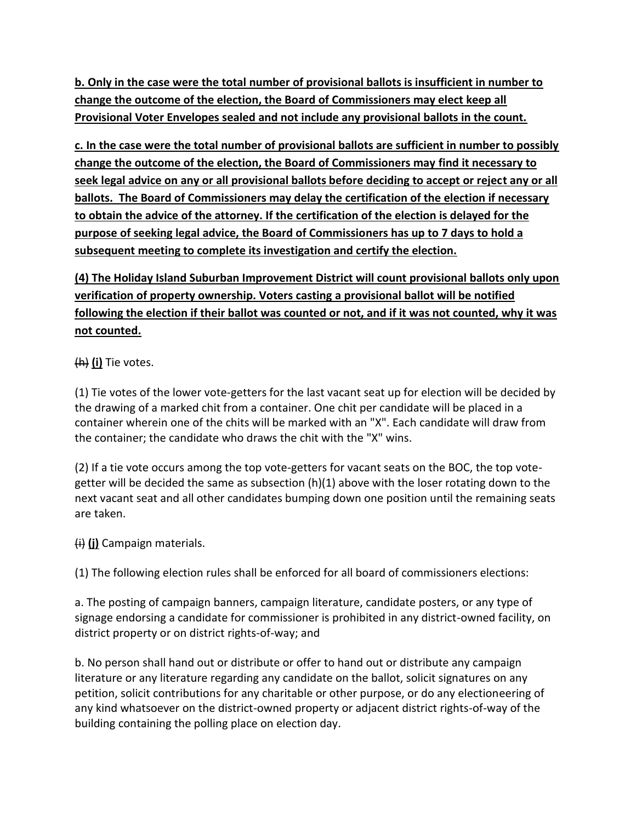**b. Only in the case were the total number of provisional ballots is insufficient in number to change the outcome of the election, the Board of Commissioners may elect keep all Provisional Voter Envelopes sealed and not include any provisional ballots in the count.**

**c. In the case were the total number of provisional ballots are sufficient in number to possibly change the outcome of the election, the Board of Commissioners may find it necessary to seek legal advice on any or all provisional ballots before deciding to accept or reject any or all ballots. The Board of Commissioners may delay the certification of the election if necessary to obtain the advice of the attorney. If the certification of the election is delayed for the purpose of seeking legal advice, the Board of Commissioners has up to 7 days to hold a subsequent meeting to complete its investigation and certify the election.**

# **(4) The Holiday Island Suburban Improvement District will count provisional ballots only upon verification of property ownership. Voters casting a provisional ballot will be notified following the election if their ballot was counted or not, and if it was not counted, why it was not counted.**

(h) **(i)** Tie votes.

(1) Tie votes of the lower vote-getters for the last vacant seat up for election will be decided by the drawing of a marked chit from a container. One chit per candidate will be placed in a container wherein one of the chits will be marked with an "X". Each candidate will draw from the container; the candidate who draws the chit with the "X" wins.

(2) If a tie vote occurs among the top vote-getters for vacant seats on the BOC, the top votegetter will be decided the same as subsection (h)(1) above with the loser rotating down to the next vacant seat and all other candidates bumping down one position until the remaining seats are taken.

(i) **(j)** Campaign materials.

(1) The following election rules shall be enforced for all board of commissioners elections:

a. The posting of campaign banners, campaign literature, candidate posters, or any type of signage endorsing a candidate for commissioner is prohibited in any district-owned facility, on district property or on district rights-of-way; and

b. No person shall hand out or distribute or offer to hand out or distribute any campaign literature or any literature regarding any candidate on the ballot, solicit signatures on any petition, solicit contributions for any charitable or other purpose, or do any electioneering of any kind whatsoever on the district-owned property or adjacent district rights-of-way of the building containing the polling place on election day.